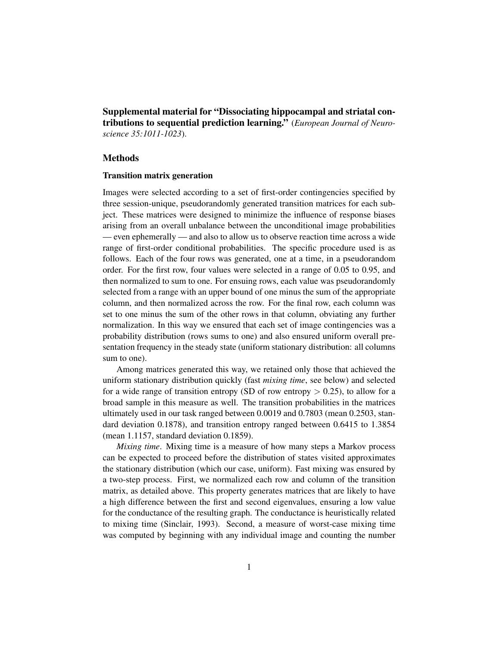Supplemental material for "Dissociating hippocampal and striatal contributions to sequential prediction learning." (*European Journal of Neuroscience 35:1011-1023*).

## Methods

#### Transition matrix generation

Images were selected according to a set of first-order contingencies specified by three session-unique, pseudorandomly generated transition matrices for each subject. These matrices were designed to minimize the influence of response biases arising from an overall unbalance between the unconditional image probabilities — even ephemerally — and also to allow us to observe reaction time across a wide range of first-order conditional probabilities. The specific procedure used is as follows. Each of the four rows was generated, one at a time, in a pseudorandom order. For the first row, four values were selected in a range of 0.05 to 0.95, and then normalized to sum to one. For ensuing rows, each value was pseudorandomly selected from a range with an upper bound of one minus the sum of the appropriate column, and then normalized across the row. For the final row, each column was set to one minus the sum of the other rows in that column, obviating any further normalization. In this way we ensured that each set of image contingencies was a probability distribution (rows sums to one) and also ensured uniform overall presentation frequency in the steady state (uniform stationary distribution: all columns sum to one).

Among matrices generated this way, we retained only those that achieved the uniform stationary distribution quickly (fast *mixing time*, see below) and selected for a wide range of transition entropy (SD of row entropy  $> 0.25$ ), to allow for a broad sample in this measure as well. The transition probabilities in the matrices ultimately used in our task ranged between 0.0019 and 0.7803 (mean 0.2503, standard deviation 0.1878), and transition entropy ranged between 0.6415 to 1.3854 (mean 1.1157, standard deviation 0.1859).

*Mixing time*. Mixing time is a measure of how many steps a Markov process can be expected to proceed before the distribution of states visited approximates the stationary distribution (which our case, uniform). Fast mixing was ensured by a two-step process. First, we normalized each row and column of the transition matrix, as detailed above. This property generates matrices that are likely to have a high difference between the first and second eigenvalues, ensuring a low value for the conductance of the resulting graph. The conductance is heuristically related to mixing time (Sinclair, 1993). Second, a measure of worst-case mixing time was computed by beginning with any individual image and counting the number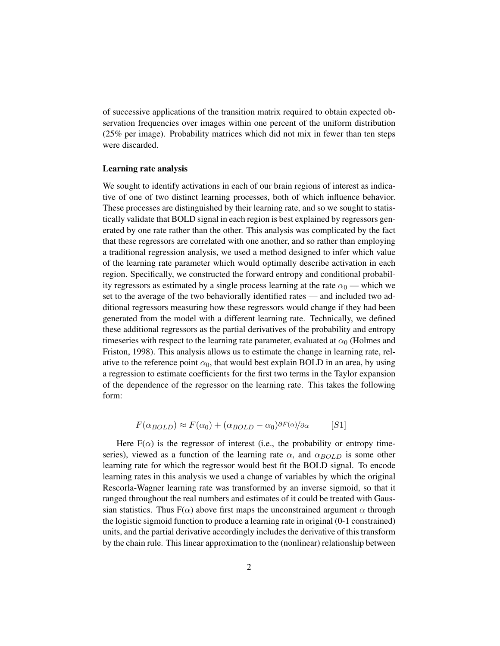of successive applications of the transition matrix required to obtain expected observation frequencies over images within one percent of the uniform distribution (25% per image). Probability matrices which did not mix in fewer than ten steps were discarded.

#### Learning rate analysis

We sought to identify activations in each of our brain regions of interest as indicative of one of two distinct learning processes, both of which influence behavior. These processes are distinguished by their learning rate, and so we sought to statistically validate that BOLD signal in each region is best explained by regressors generated by one rate rather than the other. This analysis was complicated by the fact that these regressors are correlated with one another, and so rather than employing a traditional regression analysis, we used a method designed to infer which value of the learning rate parameter which would optimally describe activation in each region. Specifically, we constructed the forward entropy and conditional probability regressors as estimated by a single process learning at the rate  $\alpha_0$  — which we set to the average of the two behaviorally identified rates — and included two additional regressors measuring how these regressors would change if they had been generated from the model with a different learning rate. Technically, we defined these additional regressors as the partial derivatives of the probability and entropy timeseries with respect to the learning rate parameter, evaluated at  $\alpha_0$  (Holmes and Friston, 1998). This analysis allows us to estimate the change in learning rate, relative to the reference point  $\alpha_0$ , that would best explain BOLD in an area, by using a regression to estimate coefficients for the first two terms in the Taylor expansion of the dependence of the regressor on the learning rate. This takes the following form:

$$
F(\alpha_{BOLD}) \approx F(\alpha_0) + (\alpha_{BOLD} - \alpha_0)^{\partial F(\alpha)}/\partial \alpha
$$
 [S1]

Here  $F(\alpha)$  is the regressor of interest (i.e., the probability or entropy timeseries), viewed as a function of the learning rate  $\alpha$ , and  $\alpha_{BOLD}$  is some other learning rate for which the regressor would best fit the BOLD signal. To encode learning rates in this analysis we used a change of variables by which the original Rescorla-Wagner learning rate was transformed by an inverse sigmoid, so that it ranged throughout the real numbers and estimates of it could be treated with Gaussian statistics. Thus  $F(\alpha)$  above first maps the unconstrained argument  $\alpha$  through the logistic sigmoid function to produce a learning rate in original (0-1 constrained) units, and the partial derivative accordingly includes the derivative of this transform by the chain rule. This linear approximation to the (nonlinear) relationship between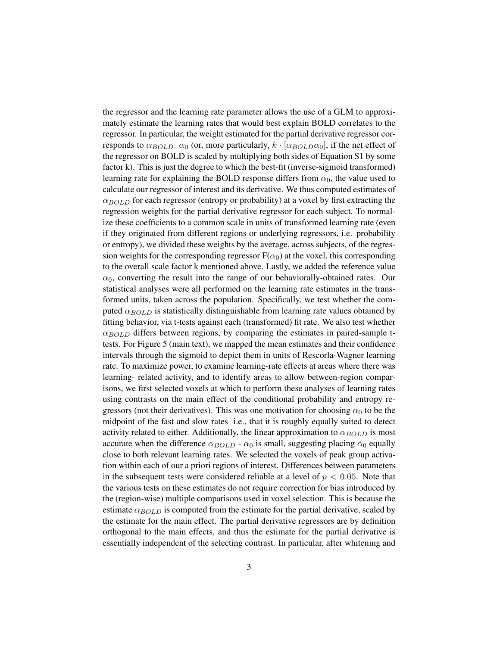the regressor and the learning rate parameter allows the use of a GLM to approximately estimate the learning rates that would best explain BOLD correlates to the regressor. In particular, the weight estimated for the partial derivative regressor corresponds to  $\alpha_{BOLD}$   $\alpha_0$  (or, more particularly,  $k \cdot [\alpha_{BOLD}\alpha_0]$ , if the net effect of the regressor on BOLD is scaled by multiplying both sides of Equation S1 by some factor k). This is just the degree to which the best-fit (inverse-sigmoid transformed) learning rate for explaining the BOLD response differs from  $\alpha_0$ , the value used to calculate our regressor of interest and its derivative. We thus computed estimates of  $\alpha_{BOLD}$  for each regressor (entropy or probability) at a voxel by first extracting the regression weights for the partial derivative regressor for each subject. To normalize these coefficients to a common scale in units of transformed learning rate (even if they originated from different regions or underlying regressors, i.e. probability or entropy), we divided these weights by the average, across subjects, of the regression weights for the corresponding regressor  $F(\alpha_0)$  at the voxel, this corresponding to the overall scale factor k mentioned above. Lastly, we added the reference value  $\alpha_0$ , converting the result into the range of our behaviorally-obtained rates. Our statistical analyses were all performed on the learning rate estimates in the transformed units, taken across the population. Specifically, we test whether the computed  $\alpha_{BOLD}$  is statistically distinguishable from learning rate values obtained by fitting behavior, via t-tests against each (transformed) fit rate. We also test whether  $\alpha_{BOLD}$  differs between regions, by comparing the estimates in paired-sample ttests. For Figure 5 (main text), we mapped the mean estimates and their confidence intervals through the sigmoid to depict them in units of Rescorla-Wagner learning rate. To maximize power, to examine learning-rate effects at areas where there was learning- related activity, and to identify areas to allow between-region comparisons, we first selected voxels at which to perform these analyses of learning rates using contrasts on the main effect of the conditional probability and entropy regressors (not their derivatives). This was one motivation for choosing  $\alpha_0$  to be the midpoint of the fast and slow rates i.e., that it is roughly equally suited to detect activity related to either. Additionally, the linear approximation to  $\alpha_{BOLD}$  is most accurate when the difference  $\alpha_{BOLD}$  -  $\alpha_0$  is small, suggesting placing  $\alpha_0$  equally close to both relevant learning rates. We selected the voxels of peak group activation within each of our a priori regions of interest. Differences between parameters in the subsequent tests were considered reliable at a level of  $p < 0.05$ . Note that the various tests on these estimates do not require correction for bias introduced by the (region-wise) multiple comparisons used in voxel selection. This is because the estimate  $\alpha_{BOLD}$  is computed from the estimate for the partial derivative, scaled by the estimate for the main effect. The partial derivative regressors are by definition orthogonal to the main effects, and thus the estimate for the partial derivative is essentially independent of the selecting contrast. In particular, after whitening and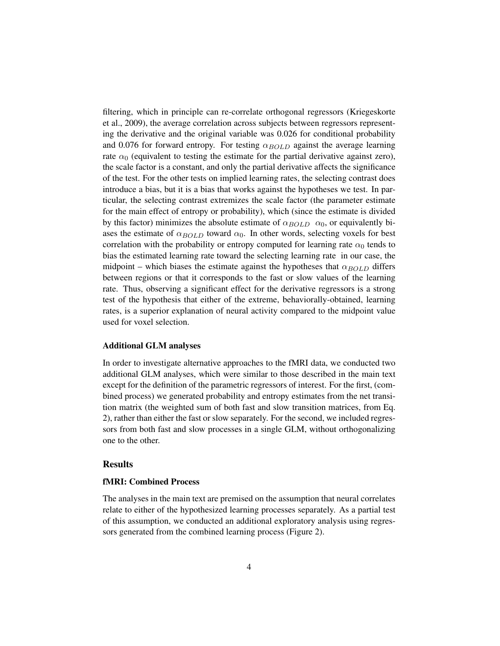filtering, which in principle can re-correlate orthogonal regressors (Kriegeskorte et al., 2009), the average correlation across subjects between regressors representing the derivative and the original variable was 0.026 for conditional probability and 0.076 for forward entropy. For testing  $\alpha_{BOLD}$  against the average learning rate  $\alpha_0$  (equivalent to testing the estimate for the partial derivative against zero), the scale factor is a constant, and only the partial derivative affects the significance of the test. For the other tests on implied learning rates, the selecting contrast does introduce a bias, but it is a bias that works against the hypotheses we test. In particular, the selecting contrast extremizes the scale factor (the parameter estimate for the main effect of entropy or probability), which (since the estimate is divided by this factor) minimizes the absolute estimate of  $\alpha_{BOLD}$   $\alpha_0$ , or equivalently biases the estimate of  $\alpha_{BOLD}$  toward  $\alpha_0$ . In other words, selecting voxels for best correlation with the probability or entropy computed for learning rate  $\alpha_0$  tends to bias the estimated learning rate toward the selecting learning rate in our case, the midpoint – which biases the estimate against the hypotheses that  $\alpha_{BOLD}$  differs between regions or that it corresponds to the fast or slow values of the learning rate. Thus, observing a significant effect for the derivative regressors is a strong test of the hypothesis that either of the extreme, behaviorally-obtained, learning rates, is a superior explanation of neural activity compared to the midpoint value used for voxel selection.

#### Additional GLM analyses

In order to investigate alternative approaches to the fMRI data, we conducted two additional GLM analyses, which were similar to those described in the main text except for the definition of the parametric regressors of interest. For the first, (combined process) we generated probability and entropy estimates from the net transition matrix (the weighted sum of both fast and slow transition matrices, from Eq. 2), rather than either the fast or slow separately. For the second, we included regressors from both fast and slow processes in a single GLM, without orthogonalizing one to the other.

## Results

### fMRI: Combined Process

The analyses in the main text are premised on the assumption that neural correlates relate to either of the hypothesized learning processes separately. As a partial test of this assumption, we conducted an additional exploratory analysis using regressors generated from the combined learning process (Figure 2).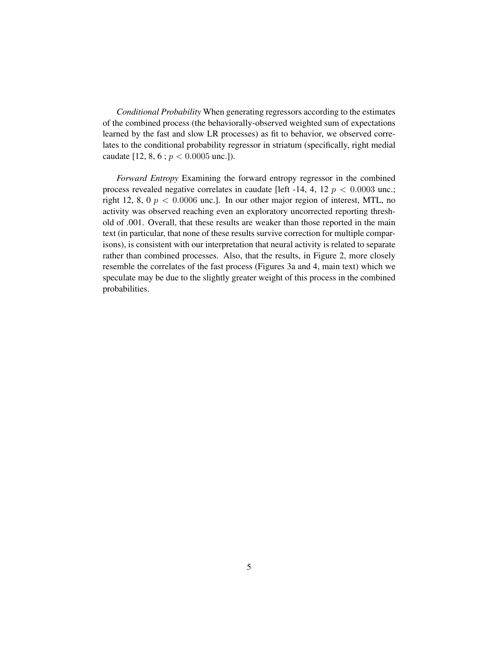*Conditional Probability* When generating regressors according to the estimates of the combined process (the behaviorally-observed weighted sum of expectations learned by the fast and slow LR processes) as fit to behavior, we observed correlates to the conditional probability regressor in striatum (specifically, right medial caudate [12, 8, 6 ;  $p < 0.0005$  unc.]).

*Forward Entropy* Examining the forward entropy regressor in the combined process revealed negative correlates in caudate [left -14, 4, 12  $p < 0.0003$  unc.; right 12, 8, 0  $p < 0.0006$  unc.]. In our other major region of interest, MTL, no activity was observed reaching even an exploratory uncorrected reporting threshold of .001. Overall, that these results are weaker than those reported in the main text (in particular, that none of these results survive correction for multiple comparisons), is consistent with our interpretation that neural activity is related to separate rather than combined processes. Also, that the results, in Figure 2, more closely resemble the correlates of the fast process (Figures 3a and 4, main text) which we speculate may be due to the slightly greater weight of this process in the combined probabilities.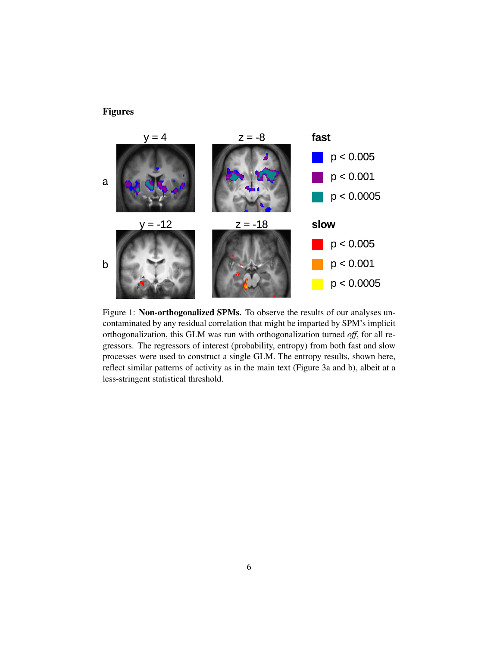## Figures



Figure 1: Non-orthogonalized SPMs. To observe the results of our analyses uncontaminated by any residual correlation that might be imparted by SPM's implicit orthogonalization, this GLM was run with orthogonalization turned *off*, for all regressors. The regressors of interest (probability, entropy) from both fast and slow processes were used to construct a single GLM. The entropy results, shown here, reflect similar patterns of activity as in the main text (Figure 3a and b), albeit at a less-stringent statistical threshold.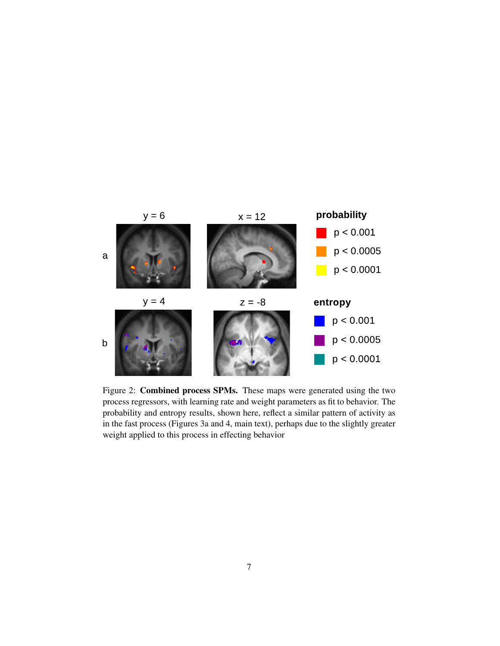

Figure 2: Combined process SPMs. These maps were generated using the two process regressors, with learning rate and weight parameters as fit to behavior. The probability and entropy results, shown here, reflect a similar pattern of activity as in the fast process (Figures 3a and 4, main text), perhaps due to the slightly greater weight applied to this process in effecting behavior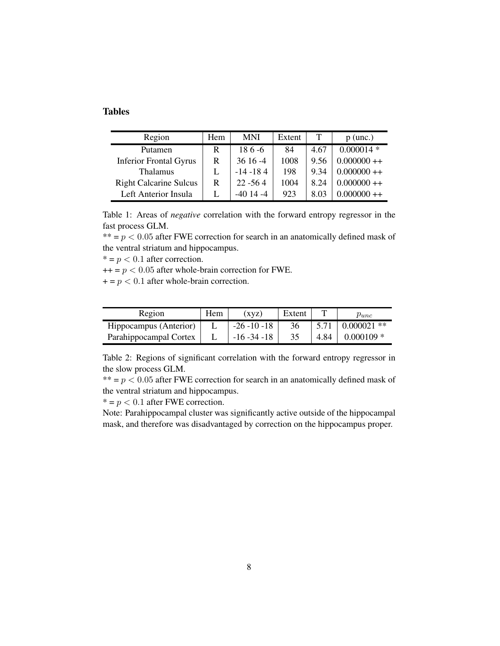## Tables

| Region                        | Hem | MNI         | Extent |      | $p$ (unc.)   |
|-------------------------------|-----|-------------|--------|------|--------------|
| Putamen                       | R   | $186 - 6$   | 84     | 4.67 | $0.000014$ * |
| <b>Inferior Frontal Gyrus</b> | R   | $3616 - 4$  | 1008   | 9.56 | $0.000000++$ |
| <b>Thalamus</b>               |     | $-14 - 184$ | 198    | 9.34 | $0.000000++$ |
| <b>Right Calcarine Sulcus</b> | R   | $22 - 564$  | 1004   | 8.24 | $0.000000++$ |
| Left Anterior Insula          |     | $-4014 - 4$ | 923    | 8.03 | $0.000000++$ |

Table 1: Areas of *negative* correlation with the forward entropy regressor in the fast process GLM.

\*\*  $= p < 0.05$  after FWE correction for search in an anatomically defined mask of the ventral striatum and hippocampus.

 $* = p < 0.1$  after correction.

 $++ = p < 0.05$  after whole-brain correction for FWE.

 $+ = p < 0.1$  after whole-brain correction.

| Region                 | Hem | (xyz)           | Extent |      | $p_{unc}$     |
|------------------------|-----|-----------------|--------|------|---------------|
| Hippocampus (Anterior) |     | $-26 - 10 - 18$ | 36     | 5.71 | $0.000021$ ** |
| Parahippocampal Cortex |     | $-16 - 34 - 18$ | 35     | 4.84 | $0.000109$ *  |

Table 2: Regions of significant correlation with the forward entropy regressor in the slow process GLM.

\*\*  $= p < 0.05$  after FWE correction for search in an anatomically defined mask of the ventral striatum and hippocampus.

 $* = p < 0.1$  after FWE correction.

Note: Parahippocampal cluster was significantly active outside of the hippocampal mask, and therefore was disadvantaged by correction on the hippocampus proper.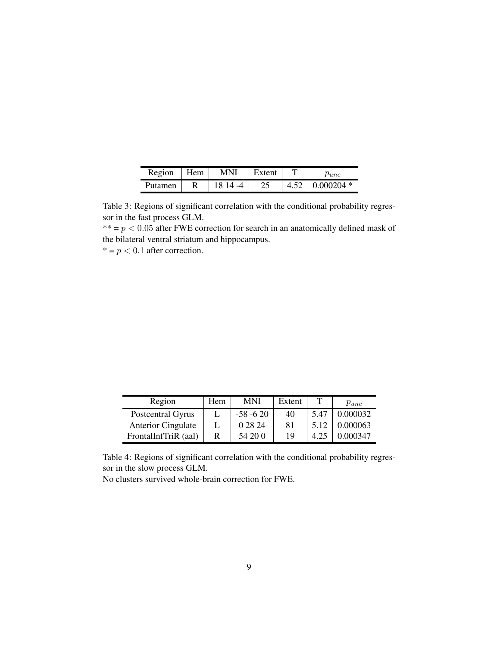| Region  | Hem | MNI      | Extent |      | $_{Punc}$    |
|---------|-----|----------|--------|------|--------------|
| Putamen |     | 18 14 -4 | つら     | 4.52 | $0.000204$ * |

Table 3: Regions of significant correlation with the conditional probability regressor in the fast process GLM.

\*\*  $= p < 0.05$  after FWE correction for search in an anatomically defined mask of the bilateral ventral striatum and hippocampus.  $* = p < 0.1$  after correction.

| Region                    | Hem | MNI         | Extent |      | $p_{unc}$ |
|---------------------------|-----|-------------|--------|------|-----------|
| Postcentral Gyrus         |     | $-58 - 620$ | 40     | 5.47 | 0.000032  |
| <b>Anterior Cingulate</b> |     | 0 28 24     | 81     | 5.12 | 0.000063  |
| FrontalInfTriR (aal)      | R   | 54 20 0     | 19     |      | 0.000347  |

Table 4: Regions of significant correlation with the conditional probability regressor in the slow process GLM.

No clusters survived whole-brain correction for FWE.